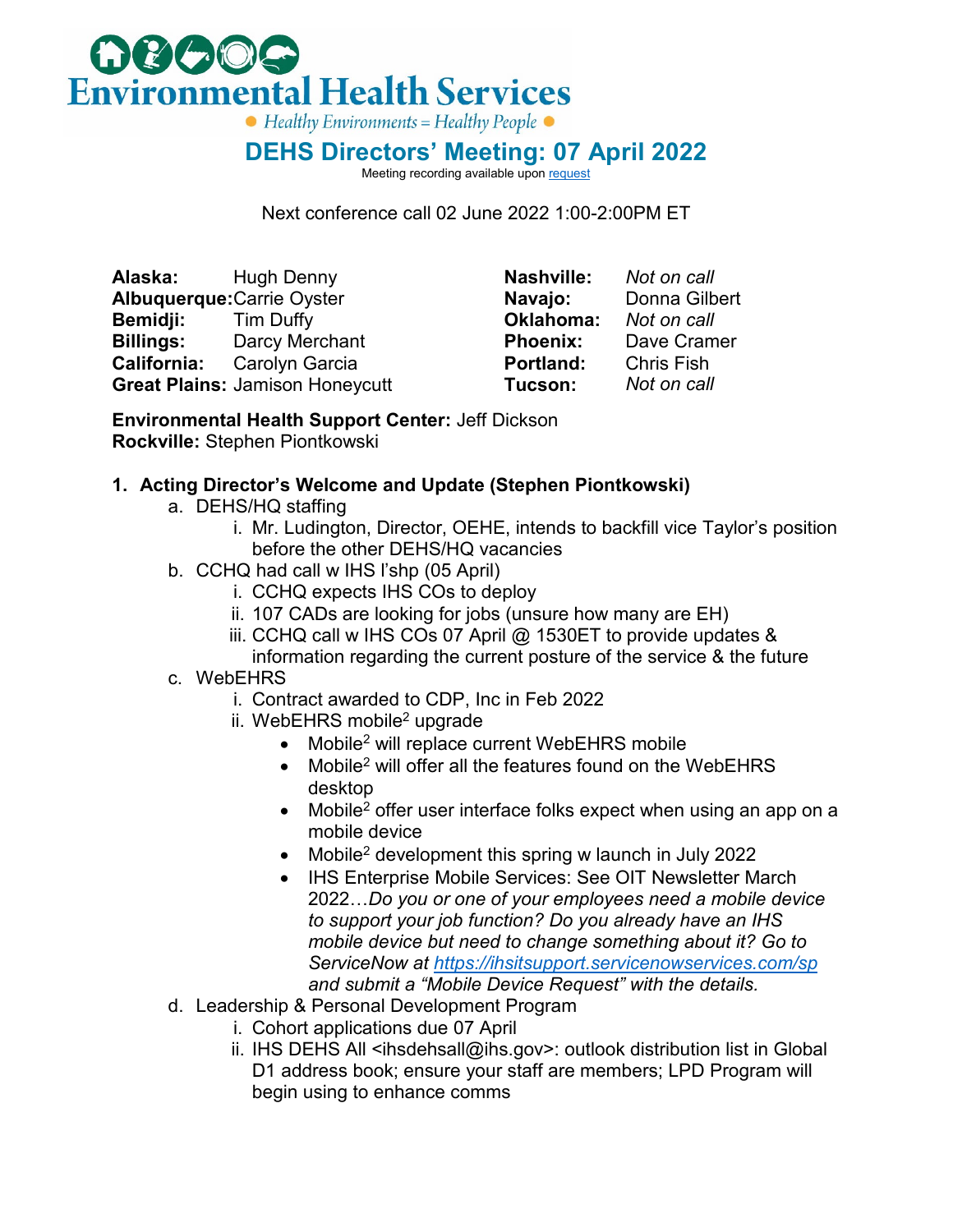

## **DEHS Directors' Meeting: 07 April 2022**

Meeting recording available upo[n request](mailto:stephen.piontkowski@ihs.gov)

Next conference call 02 June 2022 1:00-2:00PM ET

**Alaska:** Hugh Denny **Albuquerque:**Carrie Oyster **Bemidji:** Tim Duffy **Billings:** Darcy Merchant **California:** Carolyn Garcia **Great Plains:** Jamison Honeycutt

**Nashville:** *Not on call* **Navajo:** Donna Gilbert **Oklahoma:** *Not on call* **Dave Cramer Portland:** Chris Fish<br>Tucson: Not on call **Tucson:** 

**Environmental Health Support Center:** Jeff Dickson **Rockville:** Stephen Piontkowski

## **1. Acting Director's Welcome and Update (Stephen Piontkowski)**

- a. DEHS/HQ staffing
	- i. Mr. Ludington, Director, OEHE, intends to backfill vice Taylor's position before the other DEHS/HQ vacancies
- b. CCHQ had call w IHS l'shp (05 April)
	- i. CCHQ expects IHS COs to deploy
	- ii. 107 CADs are looking for jobs (unsure how many are EH)
	- iii. CCHQ call w IHS COs 07 April @ 1530ET to provide updates & information regarding the current posture of the service & the future
- c. WebEHRS
	- i. Contract awarded to CDP, Inc in Feb 2022
	- ii. WebEHRS mobile<sup>2</sup> upgrade
		- Mobile<sup>2</sup> will replace current WebEHRS mobile
		- Mobile<sup>2</sup> will offer all the features found on the WebEHRS desktop
		- Mobile<sup>2</sup> offer user interface folks expect when using an app on a mobile device
		- Mobile<sup>2</sup> development this spring w launch in July 2022
		- IHS Enterprise Mobile Services: See OIT Newsletter March 2022…*Do you or one of your employees need a mobile device to support your job function? Do you already have an IHS mobile device but need to change something about it? Go to ServiceNow at<https://ihsitsupport.servicenowservices.com/sp> and submit a "Mobile Device Request" with the details.*
- d. Leadership & Personal Development Program
	- i. Cohort applications due 07 April
	- ii. IHS DEHS All <ihsdehsall@ihs.gov>: outlook distribution list in Global D1 address book; ensure your staff are members; LPD Program will begin using to enhance comms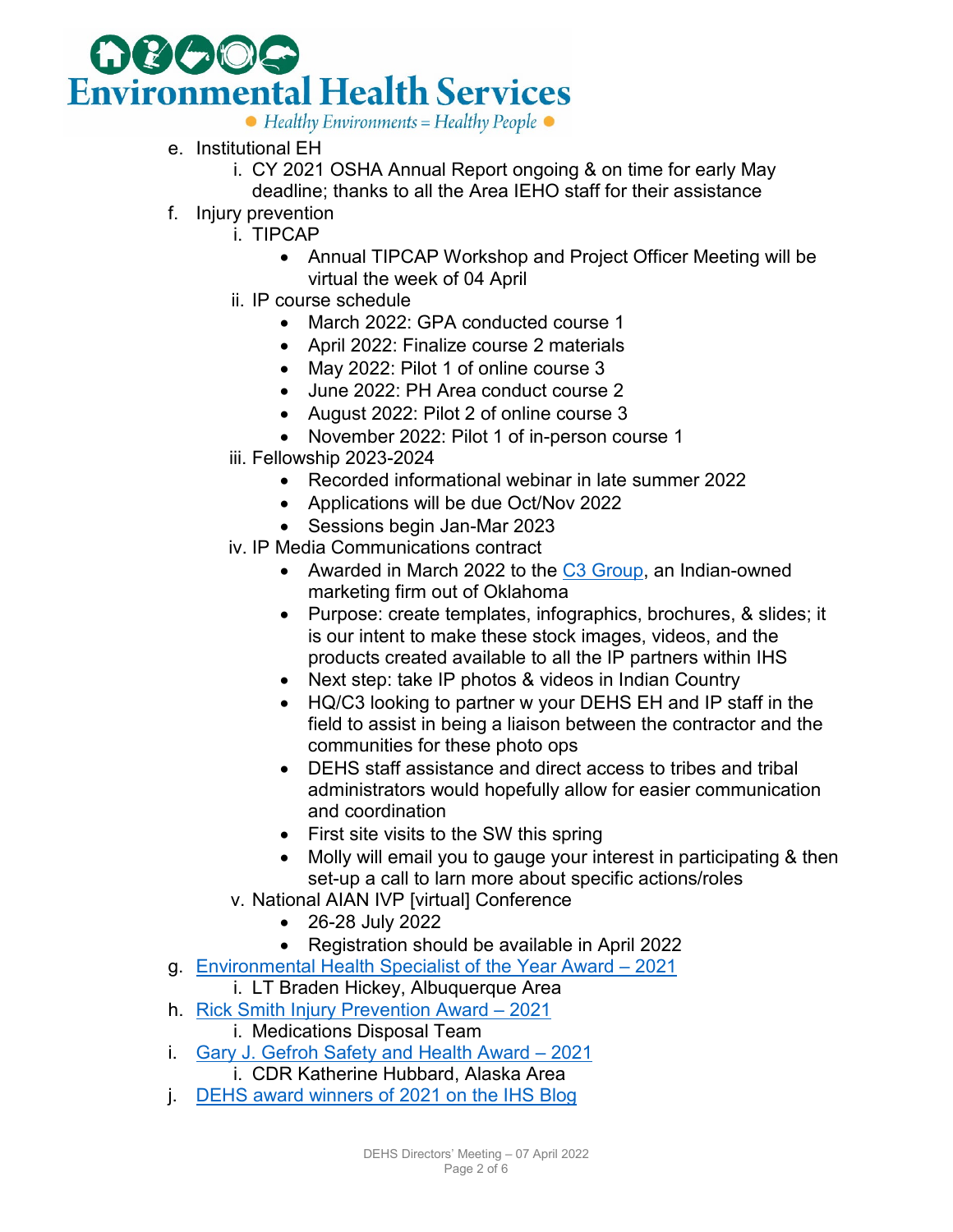

- e. Institutional EH
	- i. CY 2021 OSHA Annual Report ongoing & on time for early May deadline; thanks to all the Area IEHO staff for their assistance
- f. Injury prevention
	- i. TIPCAP
		- Annual TIPCAP Workshop and Project Officer Meeting will be virtual the week of 04 April
	- ii. IP course schedule
		- March 2022: GPA conducted course 1
		- April 2022: Finalize course 2 materials
		- May 2022: Pilot 1 of online course 3
		- June 2022: PH Area conduct course 2
		- August 2022: Pilot 2 of online course 3
		- November 2022: Pilot 1 of in-person course 1
	- iii. Fellowship 2023-2024
		- Recorded informational webinar in late summer 2022
		- Applications will be due Oct/Nov 2022
		- Sessions begin Jan-Mar 2023
	- iv. IP Media Communications contract
		- Awarded in March 2022 to the [C3 Group,](https://thec3group.net/) an Indian-owned marketing firm out of Oklahoma
		- Purpose: create templates, infographics, brochures, & slides; it is our intent to make these stock images, videos, and the products created available to all the IP partners within IHS
		- Next step: take IP photos & videos in Indian Country
		- HQ/C3 looking to partner w your DEHS EH and IP staff in the field to assist in being a liaison between the contractor and the communities for these photo ops
		- DEHS staff assistance and direct access to tribes and tribal administrators would hopefully allow for easier communication and coordination
		- First site visits to the SW this spring
		- Molly will email you to gauge your interest in participating & then set-up a call to larn more about specific actions/roles
	- v. National AIAN IVP [virtual] Conference
		- 26-28 July 2022
	- Registration should be available in April 2022
- g. [Environmental Health Specialist of the Year Award 2021](https://www.ihs.gov/sites/dehs/themes/responsive2017/display_objects/documents/IHS_Environmental_Health_Specialist_of_2021_Braden_Hickey.pdf)
	- i. LT Braden Hickey, Albuquerque Area
- h. [Rick Smith Injury Prevention Award 2021](https://www.ihs.gov/sites/injuryprevention/themes/responsive2017/display_objects/documents/Rick_Smith_Injury_Prevention_Award_2021_Medication_Disposal_Team.pdf)
	- i. Medications Disposal Team
- i. [Gary J. Gefroh Safety and Health Award 2021](https://www.ihs.gov/sites/dehs/themes/responsive2017/display_objects/documents/Gary_J_Gefroh_Safety_and%20Health_Award_of_2021_%20Katherine_Hubbard.pdf) i. CDR Katherine Hubbard, Alaska Area
- j. [DEHS award winners of 2021 on the IHS Blog](https://www.ihs.gov/newsroom/ihs-blog/march-2022-blogs/ihs-division-of-environmental-health-services-recognizes-2021-award-winners/)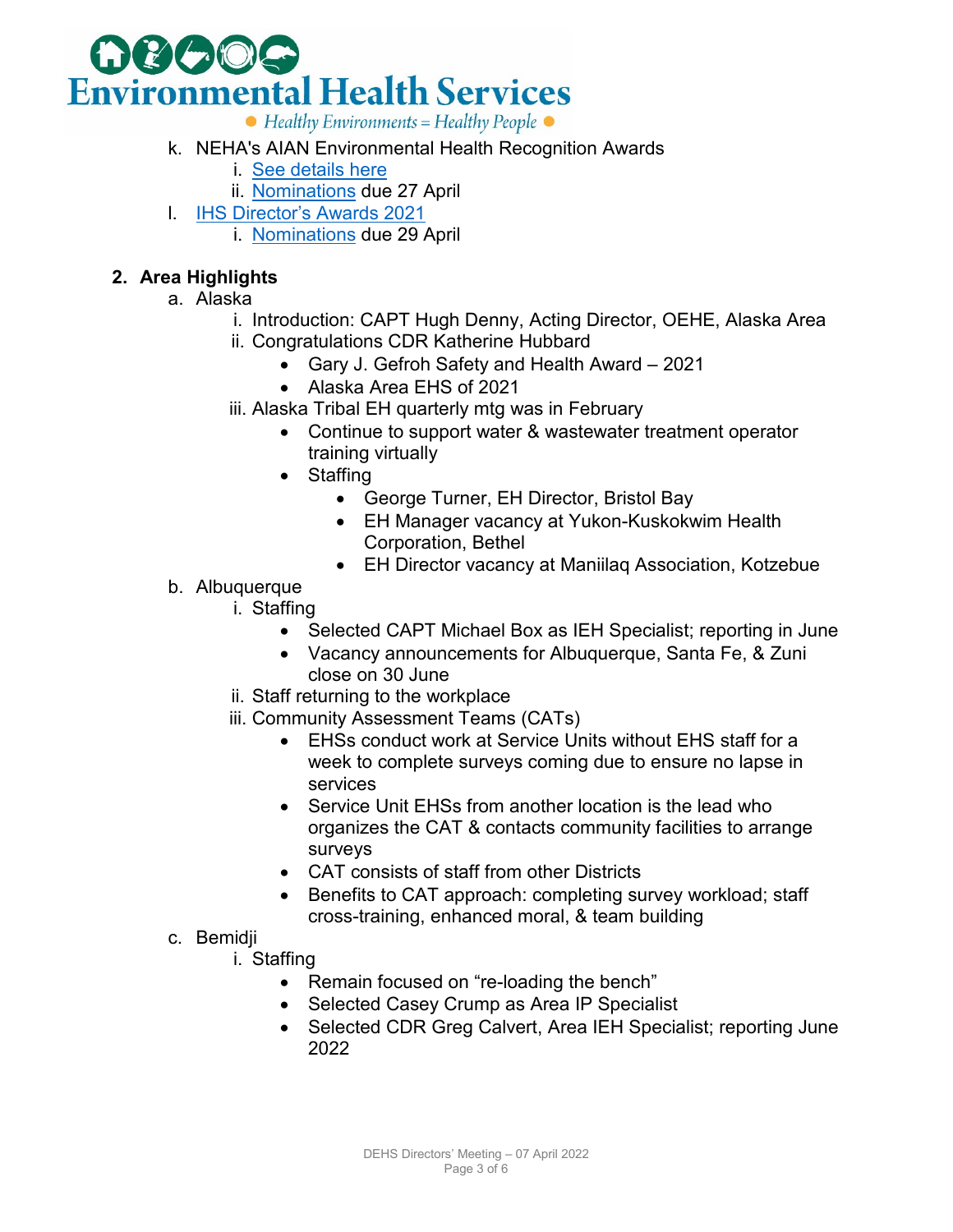

- k. NEHA's AIAN Environmental Health Recognition Awards
	- i. [See details here](https://urldefense.us/v3/__https:/www.neha.org/about-neha/awards/american-indian-and-alaska-native-environmental-health-recognition-awards?utm_source=National*Environmental*Health*Association&utm_campaign=7f8eb222c2-EMAIL_CAMPAIGN_2022_03_02_07_45_COPY_02&utm_medium=email&utm_term=0_c54fb1f5a1-7f8eb222c2-531114415__;Kysr!!Og_tST9LxTiQE1I!645p6qdfR_7FfcgqUmYuPCmqQsr23r0HseoTL50ivCRry3qRXZDThZkBF27ID5jGAzU$)
		- ii. [Nominations](https://forms.office.com/Pages/ResponsePage.aspx?id=L9ohb0vYh0GTABSF8RU2xU4r5LgBoN9Io409bdA_hVRUOVc4M05DOUFWVzcxTUVCTk1HRlA0TVY1NCQlQCN0PWcu&wdLOR=c5BF73A8C-25DD-422A-8875-89B1112721AB) due 27 April
- l. [IHS Director's Awards 2021](https://www.ihs.gov/nda/index.cfm#_blank)
	- i. [Nominations](https://www.ihs.gov/sites/nda/themes/responsive2017/display_objects/documents/Directors_Awards_New_Form_2022.pdf) due 29 April

## **2. Area Highlights**

- a. Alaska
	- i. Introduction: CAPT Hugh Denny, Acting Director, OEHE, Alaska Area
	- ii. Congratulations CDR Katherine Hubbard
		- Gary J. Gefroh Safety and Health Award 2021
		- Alaska Area EHS of 2021
	- iii. Alaska Tribal EH quarterly mtg was in February
		- Continue to support water & wastewater treatment operator training virtually
		- Staffing
			- George Turner, EH Director, Bristol Bay
			- EH Manager vacancy at Yukon-Kuskokwim Health Corporation, Bethel
			- EH Director vacancy at Maniilaq Association, Kotzebue
- b. Albuquerque
	- i. Staffing
		- Selected CAPT Michael Box as IEH Specialist; reporting in June
		- Vacancy announcements for Albuquerque, Santa Fe, & Zuni close on 30 June
	- ii. Staff returning to the workplace
	- iii. Community Assessment Teams (CATs)
		- EHSs conduct work at Service Units without EHS staff for a week to complete surveys coming due to ensure no lapse in services
		- Service Unit EHSs from another location is the lead who organizes the CAT & contacts community facilities to arrange surveys
		- CAT consists of staff from other Districts
		- Benefits to CAT approach: completing survey workload; staff cross-training, enhanced moral, & team building

## c. Bemidji

- i. Staffing
	- Remain focused on "re-loading the bench"
	- Selected Casey Crump as Area IP Specialist
	- Selected CDR Greg Calvert, Area IEH Specialist; reporting June 2022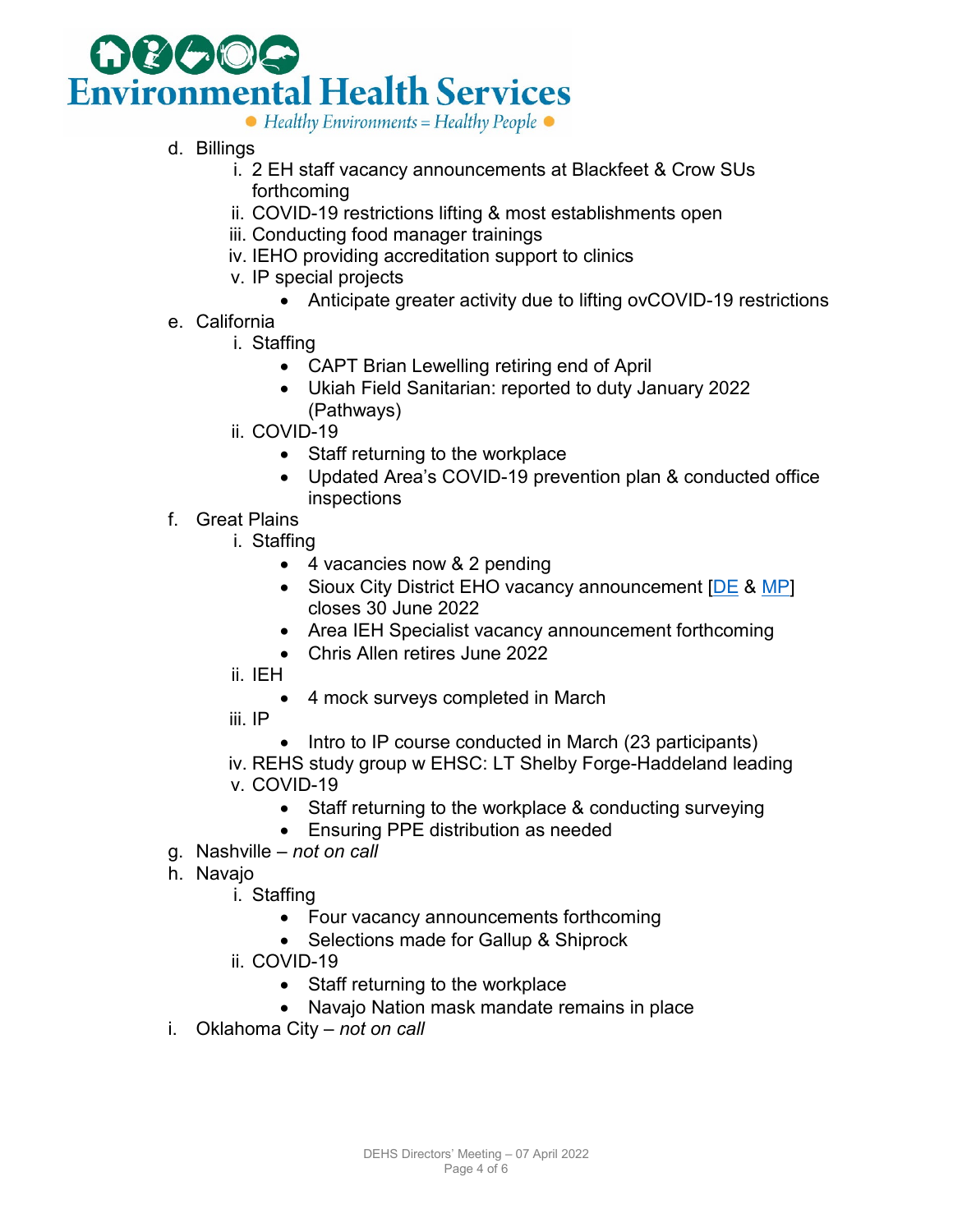

- d. Billings
	- i. 2 EH staff vacancy announcements at Blackfeet & Crow SUs forthcoming
	- ii. COVID-19 restrictions lifting & most establishments open
	- iii. Conducting food manager trainings
	- iv. IEHO providing accreditation support to clinics
	- v. IP special projects
		- Anticipate greater activity due to lifting ovCOVID-19 restrictions
- e. California
	- i. Staffing
		- CAPT Brian Lewelling retiring end of April
		- Ukiah Field Sanitarian: reported to duty January 2022 (Pathways)
	- ii. COVID-19
		- Staff returning to the workplace
		- Updated Area's COVID-19 prevention plan & conducted office inspections
- f. Great Plains
	- i. Staffing
		- 4 vacancies now & 2 pending
		- Sioux City District EHO vacancy announcement [\[DE](https://www.usajobs.gov/job/633365900) & [MP\]](https://www.usajobs.gov/job/633365000) closes 30 June 2022
		- Area IEH Specialist vacancy announcement forthcoming
		- Chris Allen retires June 2022
	- ii. IEH
		- 4 mock surveys completed in March
	- iii. IP
		- Intro to IP course conducted in March (23 participants)
	- iv. REHS study group w EHSC: LT Shelby Forge-Haddeland leading v. COVID-19
		- Staff returning to the workplace & conducting surveying
		- Ensuring PPE distribution as needed
- g. Nashville *not on call*
- h. Navajo
	- i. Staffing
		- Four vacancy announcements forthcoming
		- Selections made for Gallup & Shiprock
	- ii. COVID-19
		- Staff returning to the workplace
		- Navajo Nation mask mandate remains in place
- i. Oklahoma City *not on call*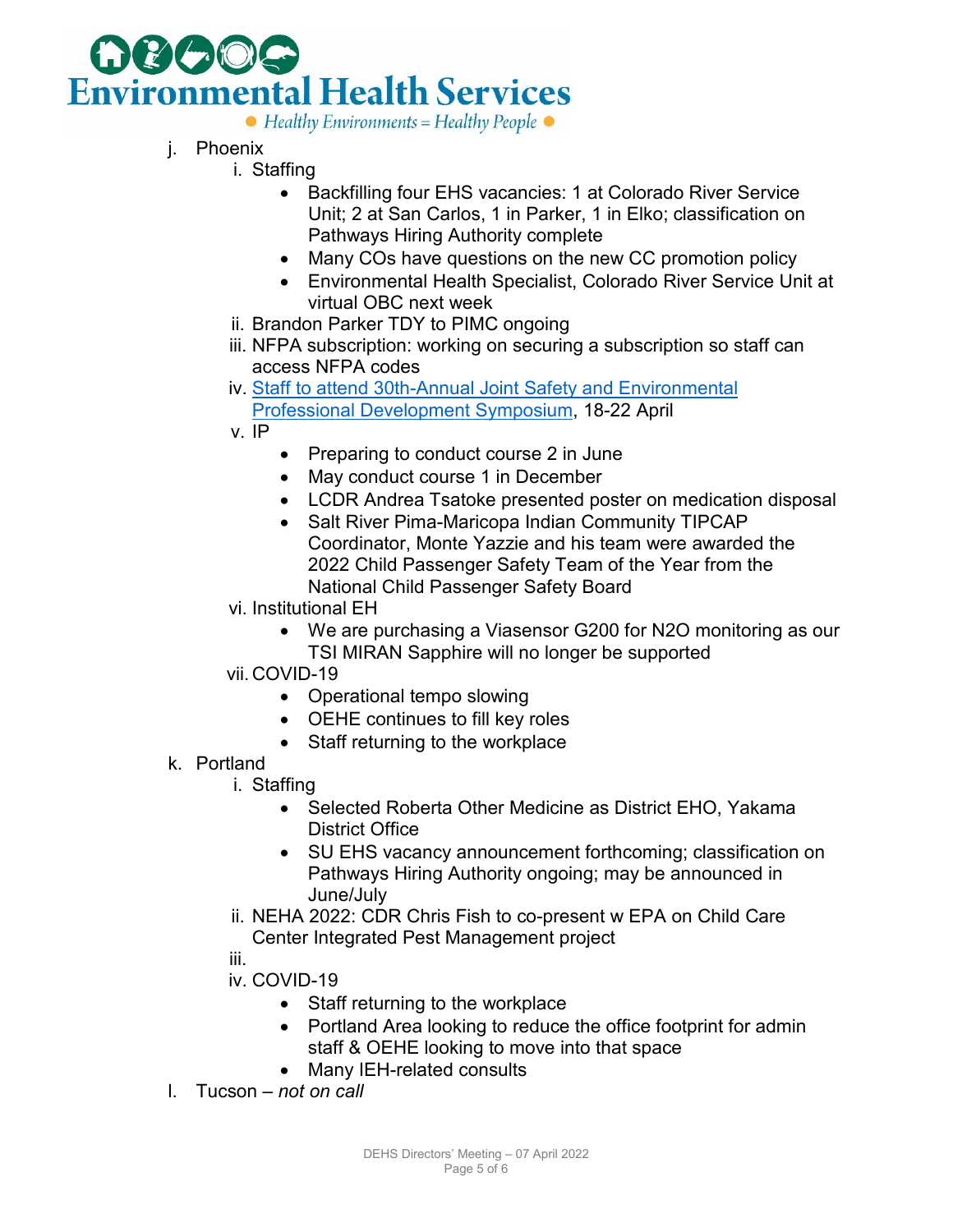

- j. Phoenix
	- i. Staffing
		- Backfilling four EHS vacancies: 1 at Colorado River Service Unit; 2 at San Carlos, 1 in Parker, 1 in Elko; classification on Pathways Hiring Authority complete
		- Many COs have questions on the new CC promotion policy
		- Environmental Health Specialist, Colorado River Service Unit at virtual OBC next week
		- ii. Brandon Parker TDY to PIMC ongoing
		- iii. NFPA subscription: working on securing a subscription so staff can access NFPA codes
	- iv. [Staff to attend 30th-Annual Joint Safety and Environmental](https://www.army.mil/article/252084/30th_annual_joint_safety_and_environmental_professional_development_symposium_scheduled_for_april_18_22_2022) 
		- [Professional Development Symposium,](https://www.army.mil/article/252084/30th_annual_joint_safety_and_environmental_professional_development_symposium_scheduled_for_april_18_22_2022) 18-22 April
	- v. IP
- Preparing to conduct course 2 in June
- May conduct course 1 in December
- LCDR Andrea Tsatoke presented poster on medication disposal
- Salt River Pima-Maricopa Indian Community TIPCAP Coordinator, Monte Yazzie and his team were awarded the 2022 Child Passenger Safety Team of the Year from the National Child Passenger Safety Board
- vi. Institutional EH
	- We are purchasing a Viasensor G200 for N2O monitoring as our TSI MIRAN Sapphire will no longer be supported
- vii. COVID-19
	- Operational tempo slowing
	- OEHE continues to fill key roles
	- Staff returning to the workplace
- k. Portland
	- i. Staffing
		- Selected Roberta Other Medicine as District EHO, Yakama District Office
		- SU EHS vacancy announcement forthcoming; classification on Pathways Hiring Authority ongoing; may be announced in June/July
	- ii. NEHA 2022: CDR Chris Fish to co-present w EPA on Child Care Center Integrated Pest Management project
	- iii.
	- iv. COVID-19
		- Staff returning to the workplace
		- Portland Area looking to reduce the office footprint for admin staff & OEHE looking to move into that space
		- Many IEH-related consults
- l. Tucson *not on call*